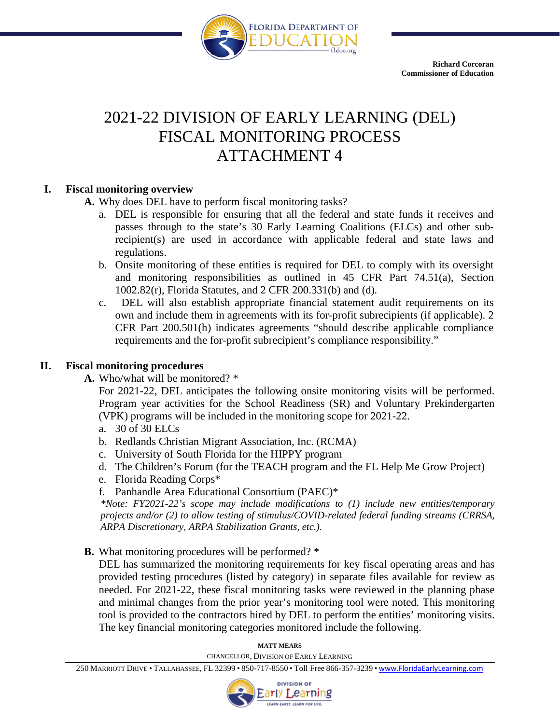

# 2021-22 DIVISION OF EARLY LEARNING (DEL) FISCAL MONITORING PROCESS ATTACHMENT 4

## **I. Fiscal monitoring overview**

- **A.** Why does DEL have to perform fiscal monitoring tasks?
	- a. DEL is responsible for ensuring that all the federal and state funds it receives and passes through to the state's 30 Early Learning Coalitions (ELCs) and other subrecipient(s) are used in accordance with applicable federal and state laws and regulations.
	- b. Onsite monitoring of these entities is required for DEL to comply with its oversight and monitoring responsibilities as outlined in 45 CFR Part 74.51(a), Section 1002.82(r), Florida Statutes, and 2 CFR 200.331(b) and (d)*.*
	- c. DEL will also establish appropriate financial statement audit requirements on its own and include them in agreements with its for-profit subrecipients (if applicable). 2 CFR Part 200.501(h) indicates agreements "should describe applicable compliance requirements and the for-profit subrecipient's compliance responsibility."

## **II. Fiscal monitoring procedures**

**A.** Who/what will be monitored? \*

For 2021-22, DEL anticipates the following onsite monitoring visits will be performed. Program year activities for the School Readiness (SR) and Voluntary Prekindergarten (VPK) programs will be included in the monitoring scope for 2021-22.

- a. 30 of 30 ELCs
- b. Redlands Christian Migrant Association, Inc. (RCMA)
- c. University of South Florida for the HIPPY program
- d. The Children's Forum (for the TEACH program and the FL Help Me Grow Project)
- e. Florida Reading Corps\*
- f. Panhandle Area Educational Consortium (PAEC)\*

*\*Note: FY2021-22's scope may include modifications to (1) include new entities/temporary projects and/or (2) to allow testing of stimulus/COVID-related federal funding streams (CRRSA, ARPA Discretionary, ARPA Stabilization Grants, etc.).*

**B.** What monitoring procedures will be performed? \*

DEL has summarized the monitoring requirements for key fiscal operating areas and has provided testing procedures (listed by category) in separate files available for review as needed. For 2021-22, these fiscal monitoring tasks were reviewed in the planning phase and minimal changes from the prior year's monitoring tool were noted. This monitoring tool is provided to the contractors hired by DEL to perform the entities' monitoring visits. The key financial monitoring categories monitored include the following.

> **MATT MEARS** CHANCELLOR, DIVISION OF EARLY LEARNING

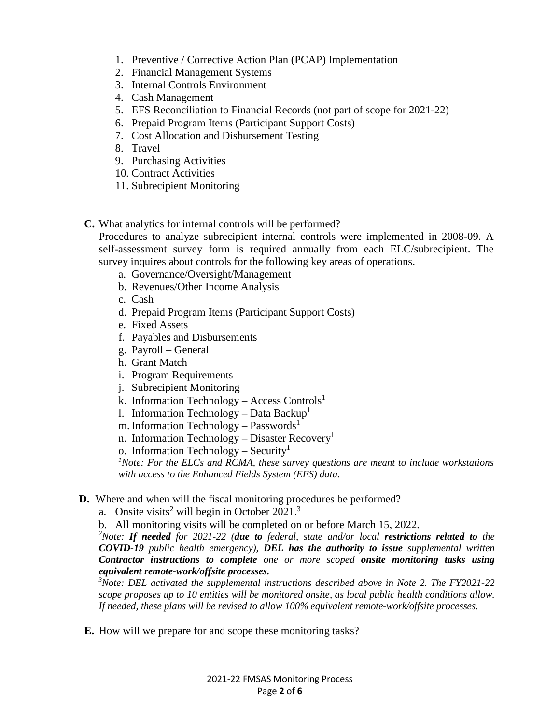- 1. Preventive / Corrective Action Plan (PCAP) Implementation
- 2. Financial Management Systems
- 3. Internal Controls Environment
- 4. Cash Management
- 5. EFS Reconciliation to Financial Records (not part of scope for 2021-22)
- 6. Prepaid Program Items (Participant Support Costs)
- 7. Cost Allocation and Disbursement Testing
- 8. Travel
- 9. Purchasing Activities
- 10. Contract Activities
- 11. Subrecipient Monitoring
- **C.** What analytics for internal controls will be performed?

Procedures to analyze subrecipient internal controls were implemented in 2008-09. A self-assessment survey form is required annually from each ELC/subrecipient. The survey inquires about controls for the following key areas of operations.

- a. Governance/Oversight/Management
- b. Revenues/Other Income Analysis
- c. Cash
- d. Prepaid Program Items (Participant Support Costs)
- e. Fixed Assets
- f. Payables and Disbursements
- g. Payroll General
- h. Grant Match
- i. Program Requirements
- j. Subrecipient Monitoring
- k. Information Technology Access Controls<sup>1</sup>
- l. Information Technology Data Backup<sup>1</sup>
- m. Information Technology Passwords<sup>1</sup>
- n. Information Technology Disaster Recovery<sup>1</sup>
- o. Information Technology Security<sup>1</sup>

<sup>1</sup>Note: For the ELCs and RCMA, these survey questions are meant to include workstations *with access to the Enhanced Fields System (EFS) data.*

- **D.** Where and when will the fiscal monitoring procedures be performed?
	- a. Onsite visits<sup>2</sup> will begin in October 2021.<sup>3</sup>
	- b. All monitoring visits will be completed on or before March 15, 2022.

*2 Note: If needed for 2021-22 (due to federal, state and/or local restrictions related to the COVID-19 public health emergency), DEL has the authority to issue supplemental written Contractor instructions to complete one or more scoped onsite monitoring tasks using equivalent remote-work/offsite processes.* 

*3 Note: DEL activated the supplemental instructions described above in Note 2. The FY2021-22 scope proposes up to 10 entities will be monitored onsite, as local public health conditions allow. If needed, these plans will be revised to allow 100% equivalent remote-work/offsite processes.* 

**E.** How will we prepare for and scope these monitoring tasks?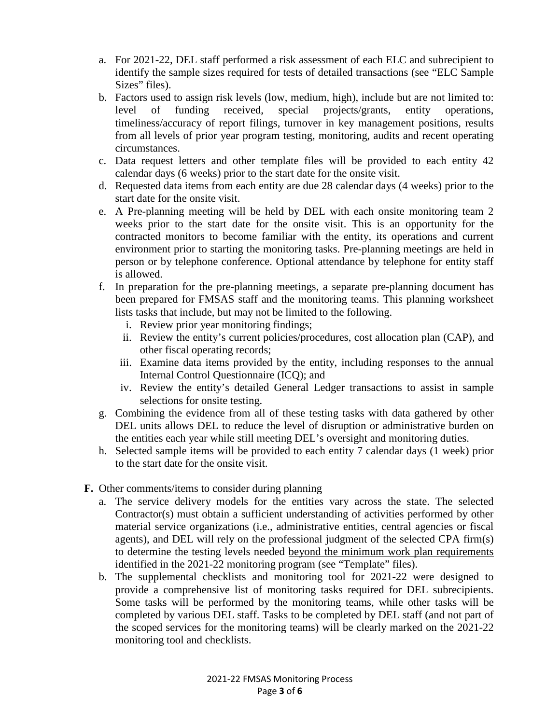- a. For 2021-22, DEL staff performed a risk assessment of each ELC and subrecipient to identify the sample sizes required for tests of detailed transactions (see "ELC Sample Sizes" files).
- b. Factors used to assign risk levels (low, medium, high), include but are not limited to: level of funding received, special projects/grants, entity operations, timeliness/accuracy of report filings, turnover in key management positions, results from all levels of prior year program testing, monitoring, audits and recent operating circumstances.
- c. Data request letters and other template files will be provided to each entity 42 calendar days (6 weeks) prior to the start date for the onsite visit.
- d. Requested data items from each entity are due 28 calendar days (4 weeks) prior to the start date for the onsite visit.
- e. A Pre-planning meeting will be held by DEL with each onsite monitoring team 2 weeks prior to the start date for the onsite visit. This is an opportunity for the contracted monitors to become familiar with the entity, its operations and current environment prior to starting the monitoring tasks. Pre-planning meetings are held in person or by telephone conference. Optional attendance by telephone for entity staff is allowed.
- f. In preparation for the pre-planning meetings, a separate pre-planning document has been prepared for FMSAS staff and the monitoring teams. This planning worksheet lists tasks that include, but may not be limited to the following.
	- i. Review prior year monitoring findings;
	- ii. Review the entity's current policies/procedures, cost allocation plan (CAP), and other fiscal operating records;
	- iii. Examine data items provided by the entity, including responses to the annual Internal Control Questionnaire (ICQ); and
	- iv. Review the entity's detailed General Ledger transactions to assist in sample selections for onsite testing.
- g. Combining the evidence from all of these testing tasks with data gathered by other DEL units allows DEL to reduce the level of disruption or administrative burden on the entities each year while still meeting DEL's oversight and monitoring duties.
- h. Selected sample items will be provided to each entity 7 calendar days (1 week) prior to the start date for the onsite visit.
- **F.** Other comments/items to consider during planning
	- a. The service delivery models for the entities vary across the state. The selected Contractor(s) must obtain a sufficient understanding of activities performed by other material service organizations (i.e., administrative entities, central agencies or fiscal agents), and DEL will rely on the professional judgment of the selected CPA firm(s) to determine the testing levels needed beyond the minimum work plan requirements identified in the 2021-22 monitoring program (see "Template" files).
	- b. The supplemental checklists and monitoring tool for 2021-22 were designed to provide a comprehensive list of monitoring tasks required for DEL subrecipients. Some tasks will be performed by the monitoring teams, while other tasks will be completed by various DEL staff. Tasks to be completed by DEL staff (and not part of the scoped services for the monitoring teams) will be clearly marked on the 2021-22 monitoring tool and checklists.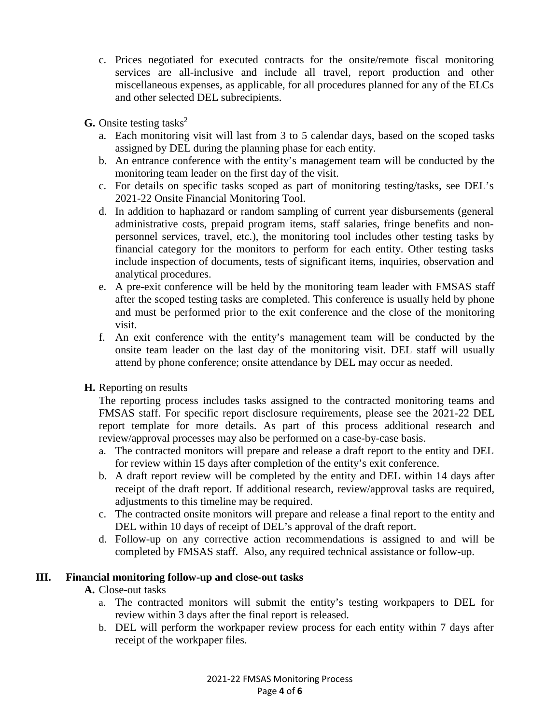- c. Prices negotiated for executed contracts for the onsite/remote fiscal monitoring services are all-inclusive and include all travel, report production and other miscellaneous expenses, as applicable, for all procedures planned for any of the ELCs and other selected DEL subrecipients.
- **G.** Onsite testing tasks<sup>2</sup>
	- a. Each monitoring visit will last from 3 to 5 calendar days, based on the scoped tasks assigned by DEL during the planning phase for each entity.
	- b. An entrance conference with the entity's management team will be conducted by the monitoring team leader on the first day of the visit.
	- c. For details on specific tasks scoped as part of monitoring testing/tasks, see DEL's 2021-22 Onsite Financial Monitoring Tool.
	- d. In addition to haphazard or random sampling of current year disbursements (general administrative costs, prepaid program items, staff salaries, fringe benefits and nonpersonnel services, travel, etc.), the monitoring tool includes other testing tasks by financial category for the monitors to perform for each entity. Other testing tasks include inspection of documents, tests of significant items, inquiries, observation and analytical procedures.
	- e. A pre-exit conference will be held by the monitoring team leader with FMSAS staff after the scoped testing tasks are completed. This conference is usually held by phone and must be performed prior to the exit conference and the close of the monitoring visit.
	- f. An exit conference with the entity's management team will be conducted by the onsite team leader on the last day of the monitoring visit. DEL staff will usually attend by phone conference; onsite attendance by DEL may occur as needed.
- **H.** Reporting on results

The reporting process includes tasks assigned to the contracted monitoring teams and FMSAS staff. For specific report disclosure requirements, please see the 2021-22 DEL report template for more details. As part of this process additional research and review/approval processes may also be performed on a case-by-case basis.

- a. The contracted monitors will prepare and release a draft report to the entity and DEL for review within 15 days after completion of the entity's exit conference.
- b. A draft report review will be completed by the entity and DEL within 14 days after receipt of the draft report. If additional research, review/approval tasks are required, adjustments to this timeline may be required.
- c. The contracted onsite monitors will prepare and release a final report to the entity and DEL within 10 days of receipt of DEL's approval of the draft report.
- d. Follow-up on any corrective action recommendations is assigned to and will be completed by FMSAS staff. Also, any required technical assistance or follow-up.

#### **III. Financial monitoring follow-up and close-out tasks**

## **A.** Close-out tasks

- a. The contracted monitors will submit the entity's testing workpapers to DEL for review within 3 days after the final report is released.
- b. DEL will perform the workpaper review process for each entity within 7 days after receipt of the workpaper files.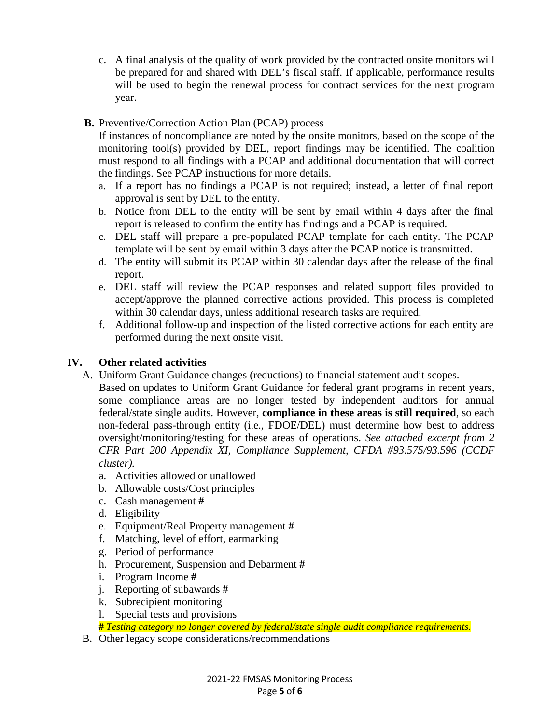- c. A final analysis of the quality of work provided by the contracted onsite monitors will be prepared for and shared with DEL's fiscal staff. If applicable, performance results will be used to begin the renewal process for contract services for the next program year.
- **B.** Preventive/Correction Action Plan (PCAP) process

If instances of noncompliance are noted by the onsite monitors, based on the scope of the monitoring tool(s) provided by DEL, report findings may be identified. The coalition must respond to all findings with a PCAP and additional documentation that will correct the findings. See PCAP instructions for more details.

- a. If a report has no findings a PCAP is not required; instead, a letter of final report approval is sent by DEL to the entity.
- b. Notice from DEL to the entity will be sent by email within 4 days after the final report is released to confirm the entity has findings and a PCAP is required.
- c. DEL staff will prepare a pre-populated PCAP template for each entity. The PCAP template will be sent by email within 3 days after the PCAP notice is transmitted.
- d. The entity will submit its PCAP within 30 calendar days after the release of the final report.
- e. DEL staff will review the PCAP responses and related support files provided to accept/approve the planned corrective actions provided. This process is completed within 30 calendar days, unless additional research tasks are required.
- f. Additional follow-up and inspection of the listed corrective actions for each entity are performed during the next onsite visit.

## **IV. Other related activities**

A. Uniform Grant Guidance changes (reductions) to financial statement audit scopes.

Based on updates to Uniform Grant Guidance for federal grant programs in recent years, some compliance areas are no longer tested by independent auditors for annual federal/state single audits. However, **compliance in these areas is still required**, so each non-federal pass-through entity (i.e., FDOE/DEL) must determine how best to address oversight/monitoring/testing for these areas of operations. *See attached excerpt from 2 CFR Part 200 Appendix XI, Compliance Supplement, CFDA #93.575/93.596 (CCDF cluster).* 

- a. Activities allowed or unallowed
- b. Allowable costs/Cost principles
- c. Cash management **#**
- d. Eligibility
- e. Equipment/Real Property management **#**
- f. Matching, level of effort, earmarking
- g. Period of performance
- h. Procurement, Suspension and Debarment **#**
- i. Program Income **#**
- j. Reporting of subawards **#**
- k. Subrecipient monitoring
- l. Special tests and provisions

**#** *Testing category no longer covered by federal/state single audit compliance requirements.*

B. Other legacy scope considerations/recommendations